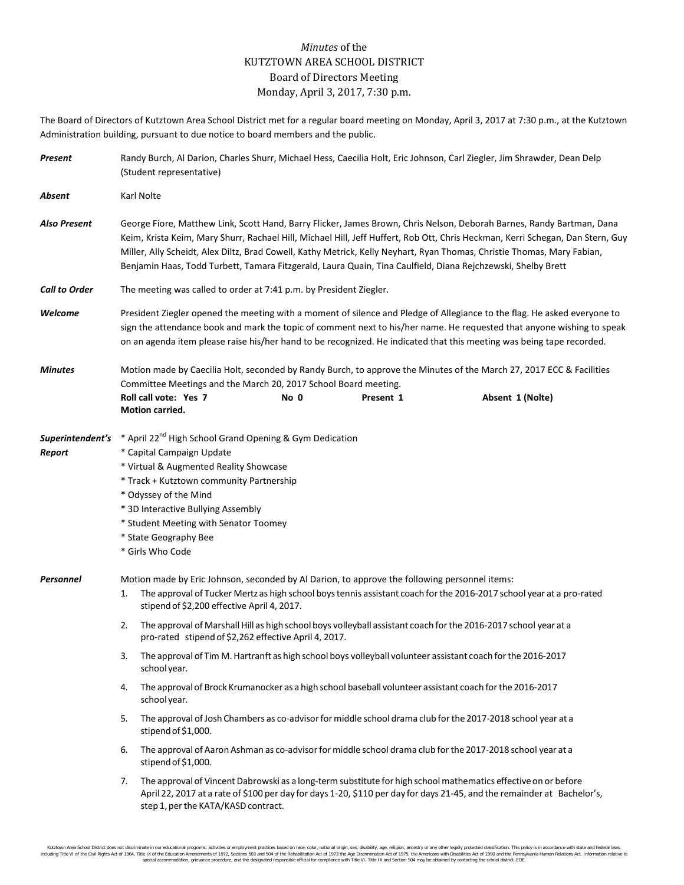## *Minutes* of the KUTZTOWN AREA SCHOOL DISTRICT Board of Directors Meeting Monday, April 3, 2017, 7:30 p.m.

The Board of Directors of Kutztown Area School District met for a regular board meeting on Monday, April 3, 2017 at 7:30 p.m., at the Kutztown Administration building, pursuant to due notice to board members and the public.

| Present                    | Randy Burch, Al Darion, Charles Shurr, Michael Hess, Caecilia Holt, Eric Johnson, Carl Ziegler, Jim Shrawder, Dean Delp<br>(Student representative)                                                                                                                                                                                                                                                                                                                                                |                                                                                                                                                                                                                                                                                                                                             |      |           |                                                                                                                                                                                                                                           |  |
|----------------------------|----------------------------------------------------------------------------------------------------------------------------------------------------------------------------------------------------------------------------------------------------------------------------------------------------------------------------------------------------------------------------------------------------------------------------------------------------------------------------------------------------|---------------------------------------------------------------------------------------------------------------------------------------------------------------------------------------------------------------------------------------------------------------------------------------------------------------------------------------------|------|-----------|-------------------------------------------------------------------------------------------------------------------------------------------------------------------------------------------------------------------------------------------|--|
| Absent                     | Karl Nolte                                                                                                                                                                                                                                                                                                                                                                                                                                                                                         |                                                                                                                                                                                                                                                                                                                                             |      |           |                                                                                                                                                                                                                                           |  |
| Also Present               | George Fiore, Matthew Link, Scott Hand, Barry Flicker, James Brown, Chris Nelson, Deborah Barnes, Randy Bartman, Dana<br>Keim, Krista Keim, Mary Shurr, Rachael Hill, Michael Hill, Jeff Huffert, Rob Ott, Chris Heckman, Kerri Schegan, Dan Stern, Guy<br>Miller, Ally Scheidt, Alex Diltz, Brad Cowell, Kathy Metrick, Kelly Neyhart, Ryan Thomas, Christie Thomas, Mary Fabian,<br>Benjamin Haas, Todd Turbett, Tamara Fitzgerald, Laura Quain, Tina Caulfield, Diana Rejchzewski, Shelby Brett |                                                                                                                                                                                                                                                                                                                                             |      |           |                                                                                                                                                                                                                                           |  |
| <b>Call to Order</b>       | The meeting was called to order at 7:41 p.m. by President Ziegler.                                                                                                                                                                                                                                                                                                                                                                                                                                 |                                                                                                                                                                                                                                                                                                                                             |      |           |                                                                                                                                                                                                                                           |  |
| Welcome                    | President Ziegler opened the meeting with a moment of silence and Pledge of Allegiance to the flag. He asked everyone to<br>sign the attendance book and mark the topic of comment next to his/her name. He requested that anyone wishing to speak<br>on an agenda item please raise his/her hand to be recognized. He indicated that this meeting was being tape recorded.                                                                                                                        |                                                                                                                                                                                                                                                                                                                                             |      |           |                                                                                                                                                                                                                                           |  |
| <b>Minutes</b>             | Motion made by Caecilia Holt, seconded by Randy Burch, to approve the Minutes of the March 27, 2017 ECC & Facilities                                                                                                                                                                                                                                                                                                                                                                               |                                                                                                                                                                                                                                                                                                                                             |      |           |                                                                                                                                                                                                                                           |  |
|                            |                                                                                                                                                                                                                                                                                                                                                                                                                                                                                                    | Committee Meetings and the March 20, 2017 School Board meeting.<br>Roll call vote: Yes 7<br>Motion carried.                                                                                                                                                                                                                                 | No 0 | Present 1 | Absent 1 (Nolte)                                                                                                                                                                                                                          |  |
| Superintendent's<br>Report |                                                                                                                                                                                                                                                                                                                                                                                                                                                                                                    | * April 22 <sup>nd</sup> High School Grand Opening & Gym Dedication<br>* Capital Campaign Update<br>* Virtual & Augmented Reality Showcase<br>* Track + Kutztown community Partnership<br>* Odyssey of the Mind<br>* 3D Interactive Bullying Assembly<br>* Student Meeting with Senator Toomey<br>* State Geography Bee<br>* Girls Who Code |      |           |                                                                                                                                                                                                                                           |  |
| Personnel                  | Motion made by Eric Johnson, seconded by Al Darion, to approve the following personnel items:<br>The approval of Tucker Mertz as high school boys tennis assistant coach for the 2016-2017 school year at a pro-rated<br>1.<br>stipend of \$2,200 effective April 4, 2017.                                                                                                                                                                                                                         |                                                                                                                                                                                                                                                                                                                                             |      |           |                                                                                                                                                                                                                                           |  |
|                            | The approval of Marshall Hill as high school boys volleyball assistant coach for the 2016-2017 school year at a<br>2.<br>pro-rated stipend of \$2,262 effective April 4, 2017.                                                                                                                                                                                                                                                                                                                     |                                                                                                                                                                                                                                                                                                                                             |      |           |                                                                                                                                                                                                                                           |  |
|                            | The approval of Tim M. Hartranft as high school boys volleyball volunteer assistant coach for the 2016-2017<br>3.<br>school year.                                                                                                                                                                                                                                                                                                                                                                  |                                                                                                                                                                                                                                                                                                                                             |      |           |                                                                                                                                                                                                                                           |  |
|                            | The approval of Brock Krumanocker as a high school baseball volunteer assistant coach for the 2016-2017<br>4.<br>school year.                                                                                                                                                                                                                                                                                                                                                                      |                                                                                                                                                                                                                                                                                                                                             |      |           |                                                                                                                                                                                                                                           |  |
|                            | The approval of Josh Chambers as co-advisor for middle school drama club for the 2017-2018 school year at a<br>5.<br>stipend of \$1,000.                                                                                                                                                                                                                                                                                                                                                           |                                                                                                                                                                                                                                                                                                                                             |      |           |                                                                                                                                                                                                                                           |  |
|                            | The approval of Aaron Ashman as co-advisor for middle school drama club for the 2017-2018 school year at a<br>6.<br>stipend of \$1,000.                                                                                                                                                                                                                                                                                                                                                            |                                                                                                                                                                                                                                                                                                                                             |      |           |                                                                                                                                                                                                                                           |  |
|                            | 7.                                                                                                                                                                                                                                                                                                                                                                                                                                                                                                 | step 1, per the KATA/KASD contract.                                                                                                                                                                                                                                                                                                         |      |           | The approval of Vincent Dabrowski as a long-term substitute for high school mathematics effective on or before<br>April 22, 2017 at a rate of \$100 per day for days 1-20, \$110 per day for days 21-45, and the remainder at Bachelor's, |  |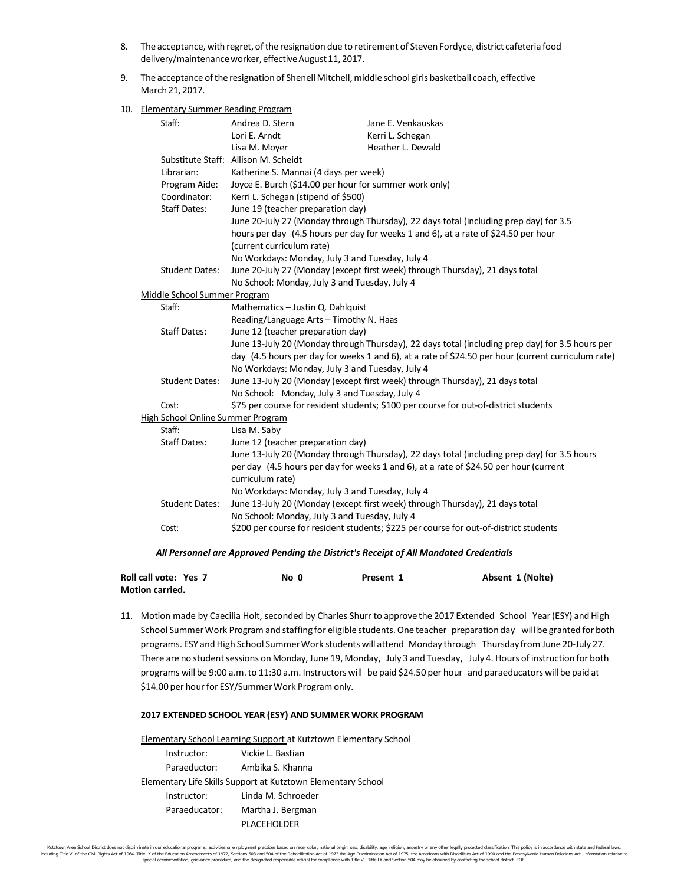- 8. The acceptance, with regret, of the resignation due to retirement of Steven Fordyce, district cafeteria food delivery/maintenance worker, effective August 11, 2017.
- 9. The acceptance of the resignation of Shenell Mitchell, middle school girls basketball coach, effective March 21, 2017.
- 10. Elementary Summer Reading Program

|                     | Staff:                            | Andrea D. Stern                                                                                    | Jane E. Venkauskas                                                                          |  |  |  |
|---------------------|-----------------------------------|----------------------------------------------------------------------------------------------------|---------------------------------------------------------------------------------------------|--|--|--|
|                     |                                   | Lori E. Arndt                                                                                      | Kerri L. Schegan                                                                            |  |  |  |
|                     |                                   | Lisa M. Moyer                                                                                      | Heather L. Dewald                                                                           |  |  |  |
|                     |                                   | Substitute Staff: Allison M. Scheidt                                                               |                                                                                             |  |  |  |
|                     | Librarian:                        | Katherine S. Mannai (4 days per week)                                                              |                                                                                             |  |  |  |
|                     | Program Aide:                     | Joyce E. Burch (\$14.00 per hour for summer work only)                                             |                                                                                             |  |  |  |
|                     | Coordinator:                      | Kerri L. Schegan (stipend of \$500)                                                                |                                                                                             |  |  |  |
|                     | <b>Staff Dates:</b>               | June 19 (teacher preparation day)                                                                  |                                                                                             |  |  |  |
|                     |                                   | June 20-July 27 (Monday through Thursday), 22 days total (including prep day) for 3.5              |                                                                                             |  |  |  |
|                     |                                   | hours per day (4.5 hours per day for weeks 1 and 6), at a rate of \$24.50 per hour                 |                                                                                             |  |  |  |
|                     |                                   | (current curriculum rate)                                                                          |                                                                                             |  |  |  |
|                     |                                   | No Workdays: Monday, July 3 and Tuesday, July 4                                                    |                                                                                             |  |  |  |
|                     | <b>Student Dates:</b>             |                                                                                                    | June 20-July 27 (Monday (except first week) through Thursday), 21 days total                |  |  |  |
|                     |                                   | No School: Monday, July 3 and Tuesday, July 4                                                      |                                                                                             |  |  |  |
|                     | Middle School Summer Program      |                                                                                                    |                                                                                             |  |  |  |
|                     | Staff:                            | Mathematics - Justin Q. Dahlquist                                                                  |                                                                                             |  |  |  |
|                     |                                   | Reading/Language Arts - Timothy N. Haas                                                            |                                                                                             |  |  |  |
|                     | <b>Staff Dates:</b>               | June 12 (teacher preparation day)                                                                  |                                                                                             |  |  |  |
|                     |                                   | June 13-July 20 (Monday through Thursday), 22 days total (including prep day) for 3.5 hours per    |                                                                                             |  |  |  |
|                     |                                   | day (4.5 hours per day for weeks 1 and 6), at a rate of \$24.50 per hour (current curriculum rate) |                                                                                             |  |  |  |
|                     |                                   | No Workdays: Monday, July 3 and Tuesday, July 4                                                    |                                                                                             |  |  |  |
|                     | <b>Student Dates:</b>             |                                                                                                    | June 13-July 20 (Monday (except first week) through Thursday), 21 days total                |  |  |  |
|                     |                                   | No School: Monday, July 3 and Tuesday, July 4                                                      |                                                                                             |  |  |  |
|                     | Cost:                             |                                                                                                    | \$75 per course for resident students; \$100 per course for out-of-district students        |  |  |  |
|                     | High School Online Summer Program |                                                                                                    |                                                                                             |  |  |  |
|                     | Staff:                            | Lisa M. Saby                                                                                       |                                                                                             |  |  |  |
| <b>Staff Dates:</b> |                                   | June 12 (teacher preparation day)                                                                  |                                                                                             |  |  |  |
|                     |                                   |                                                                                                    | June 13-July 20 (Monday through Thursday), 22 days total (including prep day) for 3.5 hours |  |  |  |
|                     |                                   | per day (4.5 hours per day for weeks 1 and 6), at a rate of \$24.50 per hour (current              |                                                                                             |  |  |  |
|                     |                                   | curriculum rate)                                                                                   |                                                                                             |  |  |  |
|                     |                                   | No Workdays: Monday, July 3 and Tuesday, July 4                                                    |                                                                                             |  |  |  |
|                     | <b>Student Dates:</b>             |                                                                                                    | June 13-July 20 (Monday (except first week) through Thursday), 21 days total                |  |  |  |
|                     |                                   | No School: Monday, July 3 and Tuesday, July 4                                                      |                                                                                             |  |  |  |
|                     | Cost:                             |                                                                                                    | \$200 per course for resident students; \$225 per course for out-of-district students       |  |  |  |
|                     |                                   |                                                                                                    |                                                                                             |  |  |  |
|                     |                                   |                                                                                                    |                                                                                             |  |  |  |

## *All Personnel are Approved Pending the District's Receipt of All Mandated Credentials*

| Roll call vote: Yes 7  | No 0 | Present 1 | Absent 1 (Nolte) |
|------------------------|------|-----------|------------------|
| <b>Motion carried.</b> |      |           |                  |

11. Motion made by Caecilia Holt, seconded by Charles Shurr to approve the 2017 Extended School Year (ESY) and High School Summer Work Program and staffing for eligible students. One teacher preparation day will be granted for both programs. ESY and High School Summer Work students will attend Monday through Thursday from June 20-July 27. There are no student sessions on Monday, June 19, Monday, July 3 and Tuesday, July 4. Hours of instruction for both programs will be 9:00 a.m.to 11:30 a.m. Instructors will be paid \$24.50 per hour and paraeducators will be paid at \$14.00 per hour for ESY/Summer Work Program only.

## **2017 EXTENDED SCHOOL YEAR (ESY) ANDSUMMER WORK PROGRAM**

Elementary School Learning Support at Kutztown Elementary School Instructor: Vickie L. Bastian Paraeductor: Ambika S. Khanna Elementary Life Skills Support at Kutztown Elementary School Instructor: Linda M. Schroeder Paraeducator: Martha J. Bergman PLACEHOLDER

Kutztown Area School District does not discriminate in our educational programs, activities or employment practices based on race, color, national orgion, ance digin, sex, disability, age, religion, ancestry or any other l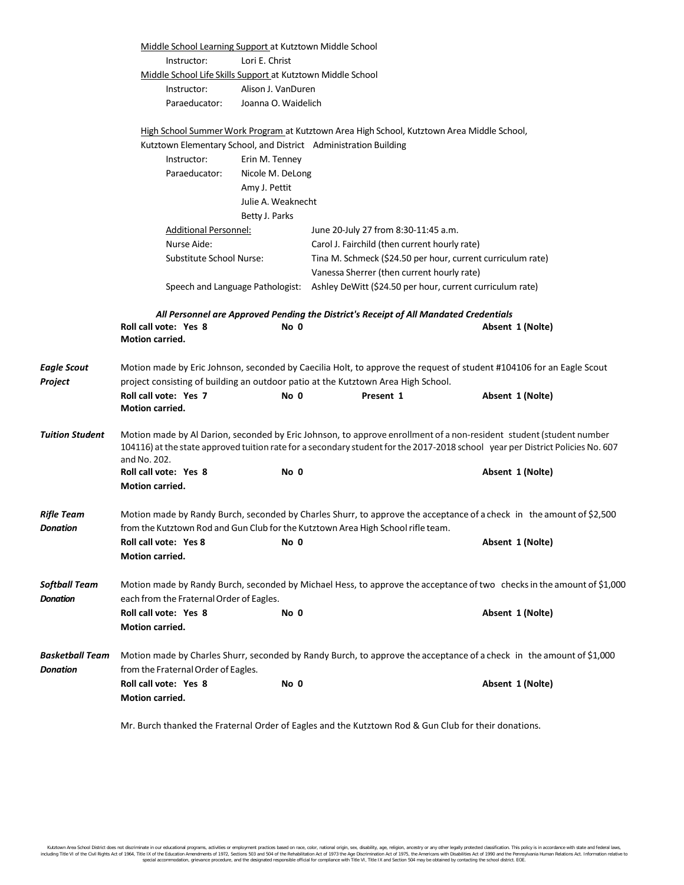|                                    | Middle School Learning Support at Kutztown Middle School<br>Instructor:                                                | Lori E. Christ      |                                                                                            |                                                                                                                                                                                                                                                                           |  |  |
|------------------------------------|------------------------------------------------------------------------------------------------------------------------|---------------------|--------------------------------------------------------------------------------------------|---------------------------------------------------------------------------------------------------------------------------------------------------------------------------------------------------------------------------------------------------------------------------|--|--|
|                                    | Middle School Life Skills Support at Kutztown Middle School                                                            |                     |                                                                                            |                                                                                                                                                                                                                                                                           |  |  |
|                                    | Instructor:                                                                                                            | Alison J. VanDuren  |                                                                                            |                                                                                                                                                                                                                                                                           |  |  |
|                                    | Paraeducator:                                                                                                          | Joanna O. Waidelich |                                                                                            |                                                                                                                                                                                                                                                                           |  |  |
|                                    |                                                                                                                        |                     |                                                                                            |                                                                                                                                                                                                                                                                           |  |  |
|                                    |                                                                                                                        |                     | High School Summer Work Program at Kutztown Area High School, Kutztown Area Middle School, |                                                                                                                                                                                                                                                                           |  |  |
|                                    |                                                                                                                        |                     | Kutztown Elementary School, and District Administration Building                           |                                                                                                                                                                                                                                                                           |  |  |
|                                    | Instructor:                                                                                                            | Erin M. Tenney      |                                                                                            |                                                                                                                                                                                                                                                                           |  |  |
|                                    | Paraeducator:                                                                                                          | Nicole M. DeLong    |                                                                                            |                                                                                                                                                                                                                                                                           |  |  |
|                                    |                                                                                                                        | Amy J. Pettit       |                                                                                            |                                                                                                                                                                                                                                                                           |  |  |
|                                    |                                                                                                                        | Julie A. Weaknecht  |                                                                                            |                                                                                                                                                                                                                                                                           |  |  |
|                                    |                                                                                                                        | Betty J. Parks      |                                                                                            |                                                                                                                                                                                                                                                                           |  |  |
|                                    | <b>Additional Personnel:</b>                                                                                           |                     | June 20-July 27 from 8:30-11:45 a.m.                                                       |                                                                                                                                                                                                                                                                           |  |  |
|                                    | Nurse Aide:<br>Substitute School Nurse:                                                                                |                     | Carol J. Fairchild (then current hourly rate)                                              |                                                                                                                                                                                                                                                                           |  |  |
|                                    |                                                                                                                        |                     |                                                                                            | Tina M. Schmeck (\$24.50 per hour, current curriculum rate)                                                                                                                                                                                                               |  |  |
|                                    |                                                                                                                        |                     | Vanessa Sherrer (then current hourly rate)                                                 |                                                                                                                                                                                                                                                                           |  |  |
|                                    |                                                                                                                        |                     | Speech and Language Pathologist: Ashley DeWitt (\$24.50 per hour, current curriculum rate) |                                                                                                                                                                                                                                                                           |  |  |
|                                    | Roll call vote: Yes 8<br><b>Motion carried.</b>                                                                        | No 0                | All Personnel are Approved Pending the District's Receipt of All Mandated Credentials      | Absent 1 (Nolte)                                                                                                                                                                                                                                                          |  |  |
| <b>Eagle Scout</b>                 |                                                                                                                        |                     |                                                                                            | Motion made by Eric Johnson, seconded by Caecilia Holt, to approve the request of student #104106 for an Eagle Scout                                                                                                                                                      |  |  |
| Project                            |                                                                                                                        |                     | project consisting of building an outdoor patio at the Kutztown Area High School.          |                                                                                                                                                                                                                                                                           |  |  |
|                                    | Roll call vote: Yes 7                                                                                                  | No 0                | Present 1                                                                                  | Absent 1 (Nolte)                                                                                                                                                                                                                                                          |  |  |
|                                    | <b>Motion carried.</b>                                                                                                 |                     |                                                                                            |                                                                                                                                                                                                                                                                           |  |  |
| <b>Tuition Student</b>             | and No. 202.<br>Roll call vote: Yes 8                                                                                  | No 0                |                                                                                            | Motion made by Al Darion, seconded by Eric Johnson, to approve enrollment of a non-resident student (student number<br>104116) at the state approved tuition rate for a secondary student for the 2017-2018 school year per District Policies No. 607<br>Absent 1 (Nolte) |  |  |
|                                    | <b>Motion carried.</b>                                                                                                 |                     |                                                                                            |                                                                                                                                                                                                                                                                           |  |  |
| Rifle Team<br>Donation             |                                                                                                                        |                     | from the Kutztown Rod and Gun Club for the Kutztown Area High School rifle team.           | Motion made by Randy Burch, seconded by Charles Shurr, to approve the acceptance of a check in the amount of \$2,500                                                                                                                                                      |  |  |
|                                    | Roll call vote: Yes 8                                                                                                  | No 0                |                                                                                            | Absent 1 (Nolte)                                                                                                                                                                                                                                                          |  |  |
|                                    | <b>Motion carried.</b>                                                                                                 |                     |                                                                                            |                                                                                                                                                                                                                                                                           |  |  |
| <b>Softball Team</b>               | Motion made by Randy Burch, seconded by Michael Hess, to approve the acceptance of two checks in the amount of \$1,000 |                     |                                                                                            |                                                                                                                                                                                                                                                                           |  |  |
| <b>Donation</b>                    | each from the Fraternal Order of Eagles.                                                                               |                     |                                                                                            |                                                                                                                                                                                                                                                                           |  |  |
|                                    | Roll call vote: Yes 8<br><b>Motion carried.</b>                                                                        | No 0                |                                                                                            | Absent 1 (Nolte)                                                                                                                                                                                                                                                          |  |  |
| Basketball Team<br><b>Donation</b> | from the Fraternal Order of Eagles.                                                                                    |                     |                                                                                            | Motion made by Charles Shurr, seconded by Randy Burch, to approve the acceptance of a check in the amount of \$1,000                                                                                                                                                      |  |  |
|                                    | Roll call vote: Yes 8<br><b>Motion carried.</b>                                                                        | No 0                |                                                                                            | Absent 1 (Nolte)                                                                                                                                                                                                                                                          |  |  |
|                                    |                                                                                                                        |                     |                                                                                            |                                                                                                                                                                                                                                                                           |  |  |

Mr. Burch thanked the Fraternal Order of Eagles and the Kutztown Rod & Gun Club for their donations.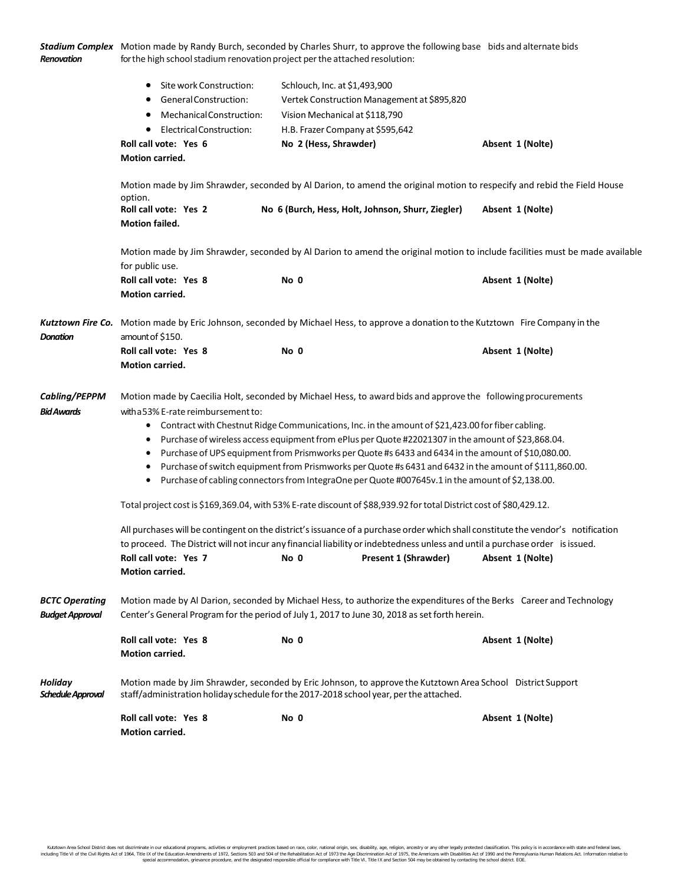| Renovation                                      | Stadium Complex Motion made by Randy Burch, seconded by Charles Shurr, to approve the following base bids and alternate bids                                                                                                                                                                                                                                                                                                                                                                                                                                                                                                                                                                                                                                                                                                                                                                                                                                                                                                                                                                                                                                                                                                                   |                                                                                                                                                                                                                       |                  |  |  |  |
|-------------------------------------------------|------------------------------------------------------------------------------------------------------------------------------------------------------------------------------------------------------------------------------------------------------------------------------------------------------------------------------------------------------------------------------------------------------------------------------------------------------------------------------------------------------------------------------------------------------------------------------------------------------------------------------------------------------------------------------------------------------------------------------------------------------------------------------------------------------------------------------------------------------------------------------------------------------------------------------------------------------------------------------------------------------------------------------------------------------------------------------------------------------------------------------------------------------------------------------------------------------------------------------------------------|-----------------------------------------------------------------------------------------------------------------------------------------------------------------------------------------------------------------------|------------------|--|--|--|
|                                                 | Site work Construction:<br>$\bullet$<br>General Construction:<br>Mechanical Construction:<br>$\bullet$<br><b>Electrical Construction:</b><br>٠<br>Roll call vote: Yes 6<br><b>Motion carried.</b>                                                                                                                                                                                                                                                                                                                                                                                                                                                                                                                                                                                                                                                                                                                                                                                                                                                                                                                                                                                                                                              | Schlouch, Inc. at \$1,493,900<br>Vertek Construction Management at \$895,820<br>Vision Mechanical at \$118,790<br>H.B. Frazer Company at \$595,642<br>No 2 (Hess, Shrawder)                                           | Absent 1 (Nolte) |  |  |  |
|                                                 | Motion made by Jim Shrawder, seconded by Al Darion, to amend the original motion to respecify and rebid the Field House                                                                                                                                                                                                                                                                                                                                                                                                                                                                                                                                                                                                                                                                                                                                                                                                                                                                                                                                                                                                                                                                                                                        |                                                                                                                                                                                                                       |                  |  |  |  |
|                                                 | option.<br>Roll call vote: Yes 2<br><b>Motion failed.</b>                                                                                                                                                                                                                                                                                                                                                                                                                                                                                                                                                                                                                                                                                                                                                                                                                                                                                                                                                                                                                                                                                                                                                                                      | No 6 (Burch, Hess, Holt, Johnson, Shurr, Ziegler)                                                                                                                                                                     | Absent 1 (Nolte) |  |  |  |
|                                                 | Motion made by Jim Shrawder, seconded by Al Darion to amend the original motion to include facilities must be made available<br>for public use.                                                                                                                                                                                                                                                                                                                                                                                                                                                                                                                                                                                                                                                                                                                                                                                                                                                                                                                                                                                                                                                                                                |                                                                                                                                                                                                                       |                  |  |  |  |
|                                                 | Roll call vote: Yes 8<br><b>Motion carried.</b>                                                                                                                                                                                                                                                                                                                                                                                                                                                                                                                                                                                                                                                                                                                                                                                                                                                                                                                                                                                                                                                                                                                                                                                                | No 0                                                                                                                                                                                                                  | Absent 1 (Nolte) |  |  |  |
| <b>Donation</b>                                 | Kutztown Fire Co. Motion made by Eric Johnson, seconded by Michael Hess, to approve a donation to the Kutztown Fire Company in the<br>amount of \$150.                                                                                                                                                                                                                                                                                                                                                                                                                                                                                                                                                                                                                                                                                                                                                                                                                                                                                                                                                                                                                                                                                         |                                                                                                                                                                                                                       |                  |  |  |  |
|                                                 | Roll call vote: Yes 8<br>Motion carried.                                                                                                                                                                                                                                                                                                                                                                                                                                                                                                                                                                                                                                                                                                                                                                                                                                                                                                                                                                                                                                                                                                                                                                                                       | No 0                                                                                                                                                                                                                  | Absent 1 (Nolte) |  |  |  |
| Cabling/PEPPM<br><b>Bid Awards</b>              | Motion made by Caecilia Holt, seconded by Michael Hess, to award bids and approve the following procurements<br>with a 53% E-rate reimbursement to:<br>Contract with Chestnut Ridge Communications, Inc. in the amount of \$21,423.00 for fiber cabling.<br>$\bullet$<br>Purchase of wireless access equipment from ePlus per Quote #22021307 in the amount of \$23,868.04.<br>$\bullet$<br>Purchase of UPS equipment from Prismworks per Quote #s 6433 and 6434 in the amount of \$10,080.00.<br>$\bullet$<br>Purchase of switch equipment from Prismworks per Quote #s 6431 and 6432 in the amount of \$111,860.00.<br>$\bullet$<br>Purchase of cabling connectors from IntegraOne per Quote #007645v.1 in the amount of \$2,138.00.<br>$\bullet$<br>Total project cost is \$169,369.04, with 53% E-rate discount of \$88,939.92 for total District cost of \$80,429.12.<br>All purchases will be contingent on the district's issuance of a purchase order which shall constitute the vendor's notification<br>to proceed. The District will not incur any financial liability or indebtedness unless and until a purchase order is issued.<br>Roll call vote: Yes 7<br>Present 1 (Shrawder)<br>No 0<br>Absent 1 (Nolte)<br>Motion carried. |                                                                                                                                                                                                                       |                  |  |  |  |
| <b>BCTC Operating</b><br><b>Budget Approval</b> |                                                                                                                                                                                                                                                                                                                                                                                                                                                                                                                                                                                                                                                                                                                                                                                                                                                                                                                                                                                                                                                                                                                                                                                                                                                | Motion made by Al Darion, seconded by Michael Hess, to authorize the expenditures of the Berks Career and Technology<br>Center's General Program for the period of July 1, 2017 to June 30, 2018 as set forth herein. |                  |  |  |  |
|                                                 | Roll call vote: Yes 8<br><b>Motion carried.</b>                                                                                                                                                                                                                                                                                                                                                                                                                                                                                                                                                                                                                                                                                                                                                                                                                                                                                                                                                                                                                                                                                                                                                                                                | No 0                                                                                                                                                                                                                  | Absent 1 (Nolte) |  |  |  |
| <b>Holiday</b><br>Schedule Approval             |                                                                                                                                                                                                                                                                                                                                                                                                                                                                                                                                                                                                                                                                                                                                                                                                                                                                                                                                                                                                                                                                                                                                                                                                                                                | Motion made by Jim Shrawder, seconded by Eric Johnson, to approve the Kutztown Area School District Support<br>staff/administration holiday schedule for the 2017-2018 school year, per the attached.                 |                  |  |  |  |
|                                                 | Roll call vote: Yes 8<br>Motion carried.                                                                                                                                                                                                                                                                                                                                                                                                                                                                                                                                                                                                                                                                                                                                                                                                                                                                                                                                                                                                                                                                                                                                                                                                       | No 0                                                                                                                                                                                                                  | Absent 1 (Nolte) |  |  |  |